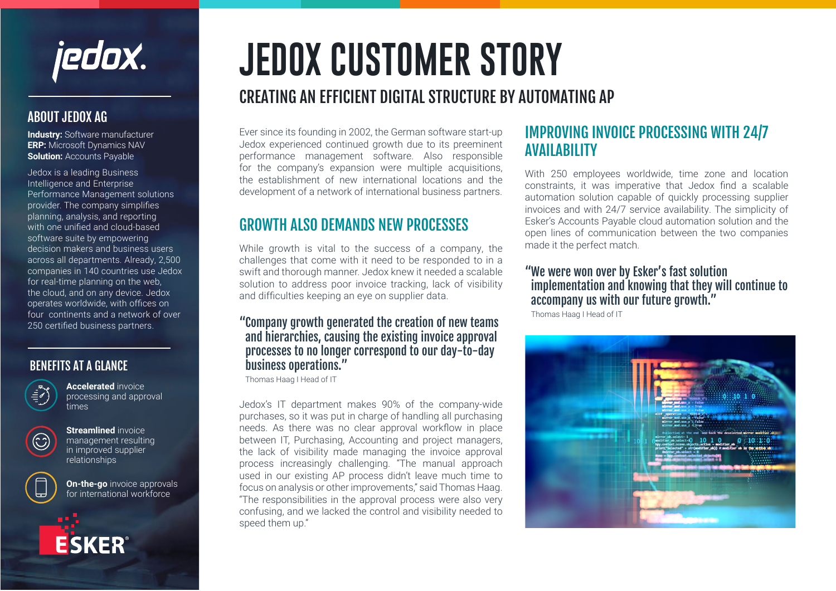jedox.

#### ABOUT JEDOX AG

**Industry:** Software manufacturer **ERP:** Microsoft Dynamics NAV **Solution: Accounts Payable** 

Jedox is a leading Business Intelligence and Enterprise Performance Management solutions provider. The company simplifies planning, analysis, and reporting with one unified and cloud-based software suite by empowering decision makers and business users across all departments. Already, 2,500 companies in 140 countries use Jedox for real-time planning on the web, the cloud, and on any device. Jedox operates worldwide, with offices on four continents and a network of over 250 certified business partners.

#### BENEFITS AT A GLANCE



**Accelerated** invoice processing and approval times



**Streamlined** invoice management resulting in improved supplier relationships

**ESKER** 



**On-the-go** invoice approvals for international workforce

# **JEDOX CUSTOMER STORY**

# CREATING AN EFFICIENT DIGITAL STRUCTURE BY AUTOMATING AP

Ever since its founding in 2002, the German software start-up Jedox experienced continued growth due to its preeminent performance management software. Also responsible for the company's expansion were multiple acquisitions, the establishment of new international locations and the development of a network of international business partners.

## GROWTH ALSO DEMANDS NEW PROCESSES

While growth is vital to the success of a company, the challenges that come with it need to be responded to in a swift and thorough manner. Jedox knew it needed a scalable solution to address poor invoice tracking, lack of visibility and difficulties keeping an eye on supplier data.

#### "Company growth generated the creation of new teams and hierarchies, causing the existing invoice approval processes to no longer correspond to our day-to-day business operations."

Thomas Haag I Head of IT

Jedox's IT department makes 90% of the company-wide purchases, so it was put in charge of handling all purchasing needs. As there was no clear approval workflow in place between IT, Purchasing, Accounting and project managers, the lack of visibility made managing the invoice approval process increasingly challenging. "The manual approach used in our existing AP process didn't leave much time to focus on analysis or other improvements," said Thomas Haag. "The responsibilities in the approval process were also very confusing, and we lacked the control and visibility needed to speed them up."

## IMPROVING INVOICE PROCESSING WITH 24/7 AVAILABILITY

With 250 employees worldwide, time zone and location constraints, it was imperative that Jedox find a scalable automation solution capable of quickly processing supplier invoices and with 24/7 service availability. The simplicity of Esker's Accounts Payable cloud automation solution and the open lines of communication between the two companies made it the perfect match.

#### "We were won over by Esker's fast solution implementation and knowing that they will continue to accompany us with our future growth."

Thomas Haag I Head of IT